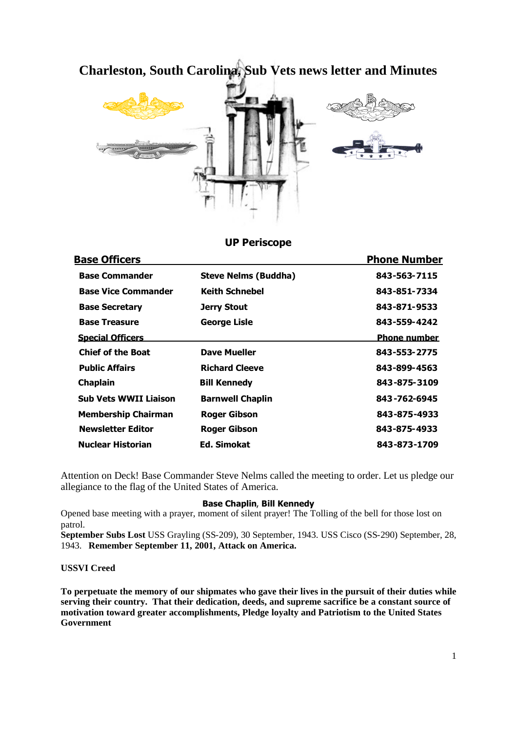# **Charleston, South Carolina, Sub Vets news letter and Minutes**



## **UP Periscope**

|                             | <b>Phone Number</b> |
|-----------------------------|---------------------|
| <b>Steve Nelms (Buddha)</b> | 843-563-7115        |
| <b>Keith Schnebel</b>       | 843-851-7334        |
| Jerry Stout                 | 843-871-9533        |
| <b>George Lisle</b>         | 843-559-4242        |
|                             | <b>Phone number</b> |
| <b>Dave Mueller</b>         | 843-553-2775        |
| <b>Richard Cleeve</b>       | 843-899-4563        |
| <b>Bill Kennedy</b>         | 843-875-3109        |
| <b>Barnwell Chaplin</b>     | 843-762-6945        |
| <b>Roger Gibson</b>         | 843-875-4933        |
| <b>Roger Gibson</b>         | 843-875-4933        |
| Ed. Simokat                 | 843-873-1709        |
|                             |                     |

Attention on Deck! Base Commander Steve Nelms called the meeting to order. Let us pledge our allegiance to the flag of the United States of America.

#### **Base Chaplin**, **Bill Kennedy**

Opened base meeting with a prayer, moment of silent prayer! The Tolling of the bell for those lost on patrol.

**September Subs Lost** USS Grayling (SS-209), 30 September, 1943. USS Cisco (SS-290) September, 28, 1943. **Remember September 11, 2001, Attack on America.**

#### **USSVI Creed**

**To perpetuate the memory of our shipmates who gave their lives in the pursuit of their duties while serving their country. That their dedication, deeds, and supreme sacrifice be a constant source of motivation toward greater accomplishments, Pledge loyalty and Patriotism to the United States Government**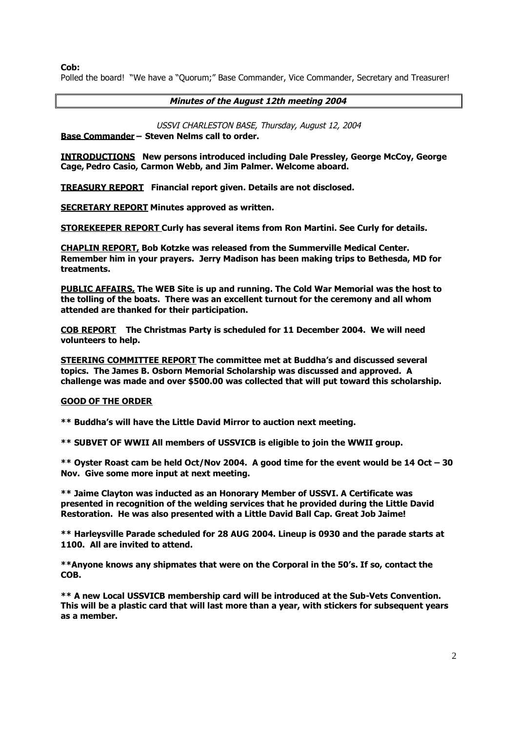**Cob:**

Polled the board! "We have a "Quorum;" Base Commander, Vice Commander, Secretary and Treasurer!

**Minutes of the August 12th meeting 2004**

USSVI CHARLESTON BASE, Thursday, August 12, 2004

**Base Commander – Steven Nelms call to order.**

**INTRODUCTIONS New persons introduced including Dale Pressley, George McCoy, George Cage, Pedro Casio, Carmon Webb, and Jim Palmer. Welcome aboard.**

**TREASURY REPORT Financial report given. Details are not disclosed.**

**SECRETARY REPORT Minutes approved as written.**

**STOREKEEPER REPORT Curly has several items from Ron Martini. See Curly for details.**

**CHAPLIN REPORT, Bob Kotzke was released from the Summerville Medical Center. Remember him in your prayers. Jerry Madison has been making trips to Bethesda, MD for treatments.**

**PUBLIC AFFAIRS, The WEB Site is up and running. The Cold War Memorial was the host to the tolling of the boats. There was an excellent turnout for the ceremony and all whom attended are thanked for their participation.**

**COB REPORT The Christmas Party is scheduled for 11 December 2004. We will need volunteers to help.**

**STEERING COMMITTEE REPORT The committee met at Buddha's and discussed several topics. The James B. Osborn Memorial Scholarship was discussed and approved. A challenge was made and over \$500.00 was collected that will put toward this scholarship.**

## **GOOD OF THE ORDER**

**\*\* Buddha's will have the Little David Mirror to auction next meeting.**

**\*\* SUBVET OF WWII All members of USSVICB is eligible to join the WWII group.**

**\*\* Oyster Roast cam be held Oct/Nov 2004. A good time for the event would be 14 Oct – 30 Nov. Give some more input at next meeting.**

**\*\* Jaime Clayton was inducted as an Honorary Member of USSVI. A Certificate was presented in recognition of the welding services that he provided during the Little David Restoration. He was also presented with a Little David Ball Cap. Great Job Jaime!**

**\*\* Harleysville Parade scheduled for 28 AUG 2004. Lineup is 0930 and the parade starts at 1100. All are invited to attend.**

**\*\*Anyone knows any shipmates that were on the Corporal in the 50's. If so, contact the COB.**

**\*\* A new Local USSVICB membership card will be introduced at the Sub-Vets Convention. This will be a plastic card that will last more than a year, with stickers for subsequent years as a member.**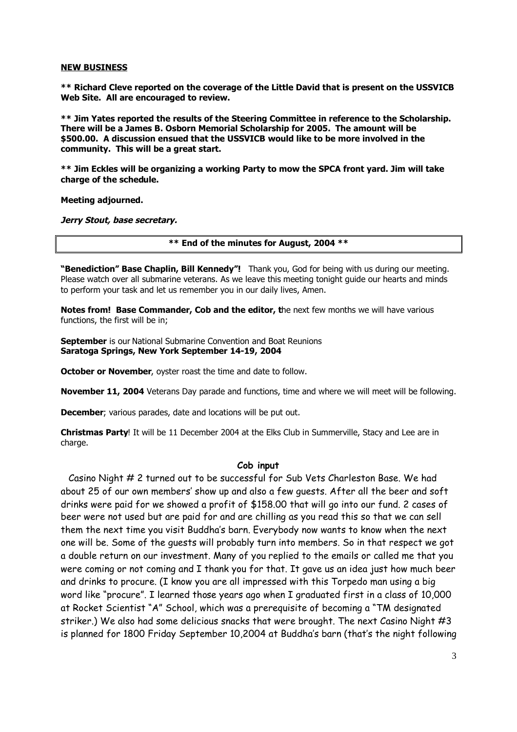#### **NEW BUSINESS**

**\*\* Richard Cleve reported on the coverage of the Little David that is present on the USSVICB Web Site. All are encouraged to review.**

**\*\* Jim Yates reported the results of the Steering Committee in reference to the Scholarship. There will be a James B. Osborn Memorial Scholarship for 2005. The amount will be \$500.00. A discussion ensued that the USSVICB would like to be more involved in the community. This will be a great start.**

**\*\* Jim Eckles will be organizing a working Party to mow the SPCA front yard. Jim will take charge of the schedule.**

**Meeting adjourned.**

**Jerry Stout, base secretary.**

**\*\* End of the minutes for August, 2004 \*\***

**"Benediction" Base Chaplin, Bill Kennedy"!** Thank you, God for being with us during our meeting. Please watch over all submarine veterans. As we leave this meeting tonight guide our hearts and minds to perform your task and let us remember you in our daily lives, Amen.

**Notes from! Base Commander, Cob and the editor, t**he next few months we will have various functions, the first will be in;

**September** is our National Submarine Convention and Boat Reunions **Saratoga Springs, New York September 14-19, 2004**

**October or November**, oyster roast the time and date to follow.

**November 11, 2004** Veterans Day parade and functions, time and where we will meet will be following.

**December**; various parades, date and locations will be put out.

**Christmas Party**! It will be 11 December 2004 at the Elks Club in Summerville, Stacy and Lee are in charge.

#### **Cob input**

Casino Night # 2 turned out to be successful for Sub Vets Charleston Base. We had about 25 of our own members' show up and also a few guests. After all the beer and soft drinks were paid for we showed a profit of \$158.00 that will go into our fund. 2 cases of beer were not used but are paid for and are chilling as you read this so that we can sell them the next time you visit Buddha's barn. Everybody now wants to know when the next one will be. Some of the guests will probably turn into members. So in that respect we got a double return on our investment. Many of you replied to the emails or called me that you were coming or not coming and I thank you for that. It gave us an idea just how much beer and drinks to procure. (I know you are all impressed with this Torpedo man using a big word like "procure". I learned those years ago when I graduated first in a class of 10,000 at Rocket Scientist "A" School, which was a prerequisite of becoming a "TM designated striker.) We also had some delicious snacks that were brought. The next Casino Night #3 is planned for 1800 Friday September 10,2004 at Buddha's barn (that's the night following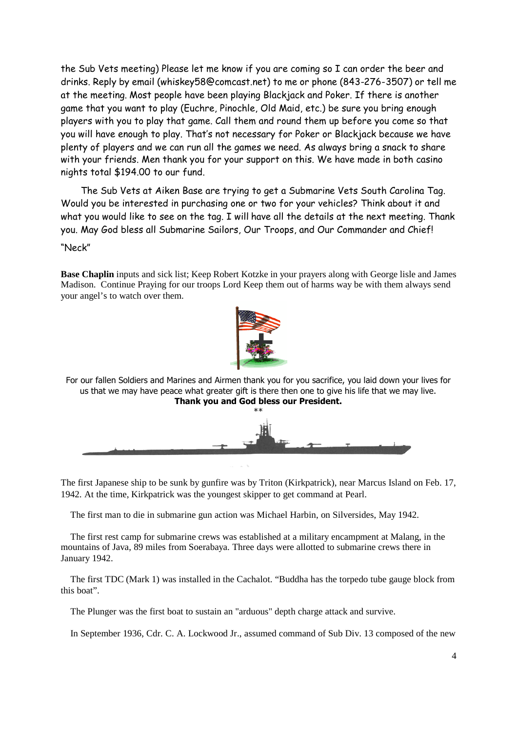the Sub Vets meeting) Please let me know if you are coming so I can order the beer and drinks. Reply by email (whiskey58@comcast.net) to me or phone (843-276-3507) or tell me at the meeting. Most people have been playing Blackjack and Poker. If there is another game that you want to play (Euchre, Pinochle, Old Maid, etc.) be sure you bring enough players with you to play that game. Call them and round them up before you come so that you will have enough to play. That's not necessary for Poker or Blackjack because we have plenty of players and we can run all the games we need. As always bring a snack to share with your friends. Men thank you for your support on this. We have made in both casino nights total \$194.00 to our fund.

The Sub Vets at Aiken Base are trying to get a Submarine Vets South Carolina Tag. Would you be interested in purchasing one or two for your vehicles? Think about it and what you would like to see on the tag. I will have all the details at the next meeting. Thank you. May God bless all Submarine Sailors, Our Troops, and Our Commander and Chief! "Neck"

**Base Chaplin** inputs and sick list; Keep Robert Kotzke in your prayers along with George lisle and James Madison. Continue Praying for our troops Lord Keep them out of harms way be with them always send your angel's to watch over them.



For our fallen Soldiers and Marines and Airmen thank you for you sacrifice, you laid down your lives for us that we may have peace what greater gift is there then one to give his life that we may live. **Thank you and God bless our President.** \*\*



The first Japanese ship to be sunk by gunfire was by Triton (Kirkpatrick), near Marcus Island on Feb. 17, 1942. At the time, Kirkpatrick was the youngest skipper to get command at Pearl.

The first man to die in submarine gun action was Michael Harbin, on Silversides, May 1942.

The first rest camp for submarine crews was established at a military encampment at Malang, in the mountains of Java, 89 miles from Soerabaya. Three days were allotted to submarine crews there in January 1942.

The first TDC (Mark 1) was installed in the Cachalot. "Buddha has the torpedo tube gauge block from this boat".

The Plunger was the first boat to sustain an "arduous" depth charge attack and survive.

In September 1936, Cdr. C. A. Lockwood Jr., assumed command of Sub Div. 13 composed of the new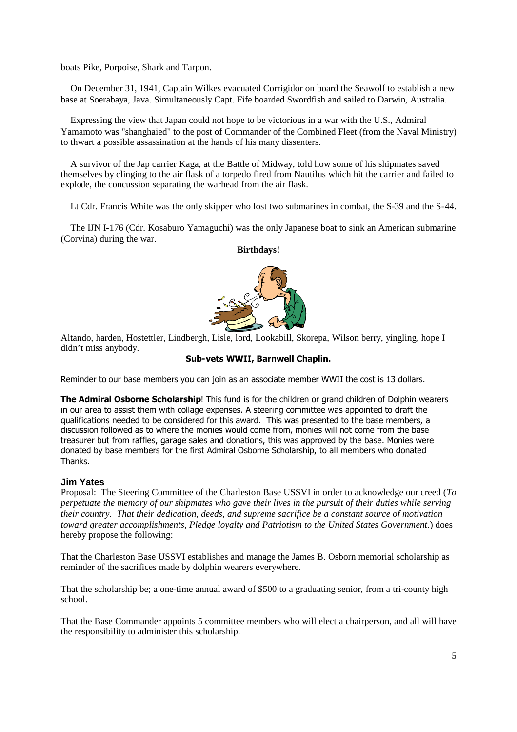boats Pike, Porpoise, Shark and Tarpon.

On December 31, 1941, Captain Wilkes evacuated Corrigidor on board the Seawolf to establish a new base at Soerabaya, Java. Simultaneously Capt. Fife boarded Swordfish and sailed to Darwin, Australia.

Expressing the view that Japan could not hope to be victorious in a war with the U.S., Admiral Yamamoto was "shanghaied" to the post of Commander of the Combined Fleet (from the Naval Ministry) to thwart a possible assassination at the hands of his many dissenters.

A survivor of the Jap carrier Kaga, at the Battle of Midway, told how some of his shipmates saved themselves by clinging to the air flask of a torpedo fired from Nautilus which hit the carrier and failed to explode, the concussion separating the warhead from the air flask.

Lt Cdr. Francis White was the only skipper who lost two submarines in combat, the S-39 and the S-44.

The IJN I-176 (Cdr. Kosaburo Yamaguchi) was the only Japanese boat to sink an American submarine (Corvina) during the war.

#### **Birthdays!**



Altando, harden, Hostettler, Lindbergh, Lisle, lord, Lookabill, Skorepa, Wilson berry, yingling, hope I didn't miss anybody.

### **Sub-vets WWII, Barnwell Chaplin.**

Reminder to our base members you can join as an associate member WWII the cost is 13 dollars.

**The Admiral Osborne Scholarship**! This fund is for the children or grand children of Dolphin wearers in our area to assist them with collage expenses. A steering committee was appointed to draft the qualifications needed to be considered for this award. This was presented to the base members, a discussion followed as to where the monies would come from, monies will not come from the base treasurer but from raffles, garage sales and donations, this was approved by the base. Monies were donated by base members for the first Admiral Osborne Scholarship, to all members who donated Thanks.

## **Jim Yates**

Proposal: The Steering Committee of the Charleston Base USSVI in order to acknowledge our creed (*To perpetuate the memory of our shipmates who gave their lives in the pursuit of their duties while serving their country. That their dedication, deeds, and supreme sacrifice be a constant source of motivation toward greater accomplishments, Pledge loyalty and Patriotism to the United States Government*.) does hereby propose the following:

That the Charleston Base USSVI establishes and manage the James B. Osborn memorial scholarship as reminder of the sacrifices made by dolphin wearers everywhere.

That the scholarship be; a one-time annual award of \$500 to a graduating senior, from a tri-county high school.

That the Base Commander appoints 5 committee members who will elect a chairperson, and all will have the responsibility to administer this scholarship.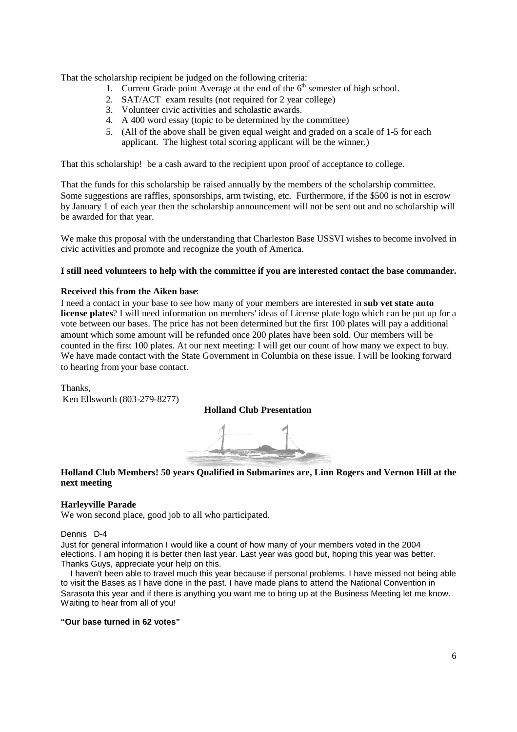That the scholarship recipient be judged on the following criteria:

- 1. Current Grade point Average at the end of the  $6<sup>th</sup>$  semester of high school.
- 2. SAT/ACT exam results (not required for 2 year college)
- 3. Volunteer civic activities and scholastic awards.
- 4. A 400 word essay (topic to be determined by the committee)
- 5. (All of the above shall be given equal weight and graded on a scale of 1-5 for each applicant. The highest total scoring applicant will be the winner.)

That this scholarship! be a cash award to the recipient upon proof of acceptance to college.

That the funds for this scholarship be raised annually by the members of the scholarship committee. Some suggestions are raffles, sponsorships, arm twisting, etc. Furthermore, if the \$500 is not in escrow by January 1 of each year then the scholarship announcement will not be sent out and no scholarship will be awarded for that year.

We make this proposal with the understanding that Charleston Base USSVI wishes to become involved in civic activities and promote and recognize the youth of America.

## **I still need volunteers to help with the committee if you are interested contact the base commander.**

#### **Received this from the Aiken base**:

I need a contact in your base to see how many of your members are interested in **sub vet state auto license plates**? I will need information on members' ideas of License plate logo which can be put up for a vote between our bases. The price has not been determined but the first 100 plates will pay a additional amount which some amount will be refunded once 200 plates have been sold. Our members will be counted in the first 100 plates. At our next meeting: I will get our count of how many we expect to buy. We have made contact with the State Government in Columbia on these issue. I will be looking forward to hearing from your base contact.

Thanks, Ken Ellsworth (803-279-8277)

## **Holland Club Presentation**



## **Holland Club Members! 50 years Qualified in Submarines are, Linn Rogers and Vernon Hill at the next meeting**

## **Harleyville Parade**

We won second place, good job to all who participated.

#### Dennis D-4

Just for general information I would like a count of how many of your members voted in the 2004 elections. I am hoping it is better then last year. Last year was good but, hoping this year was better. Thanks Guys, appreciate your help on this.

I haven't been able to travel much this year because if personal problems. I have missed not being able to visit the Bases as I have done in the past. I have made plans to attend the National Convention in Sarasota this year and if there is anything you want me to bring up at the Business Meeting let me know. Waiting to hear from all of you!

#### **"Our base turned in 62 votes"**